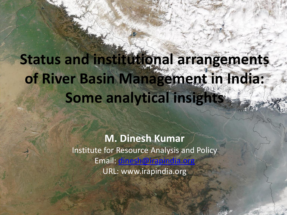# **Status and institutional arrangements of River Basin Management in India: Some analytical insights**

**M. Dinesh Kumar** Institute for Resource Analysis and Policy Email: URL: www.irapindia.org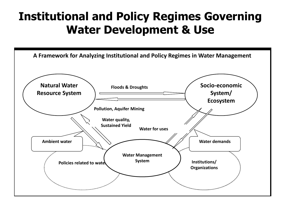## **Institutional and Policy Regimes Governing Water Development & Use**

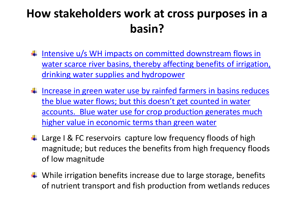## **How stakeholders work at cross purposes in a basin?**

- Intensive u/s WH impacts on committed downstream flows in [water scarce river basins, thereby affecting benefits of irrigation,](#page-16-0) drinking water supplies and hydropower
- $\text{■}$  Increase in green water use by rainfed farmers in basins reduces the blue water flows; but this doesn't get counted in water [accounts. Blue water use for crop production generates much](#page-18-0)  higher value in economic terms than green water
- ↓ Large I & FC reservoirs capture low frequency floods of high magnitude; but reduces the benefits from high frequency floods of low magnitude
- <span id="page-2-0"></span> $\ddot{+}$  While irrigation benefits increase due to large storage, benefits of nutrient transport and fish production from wetlands reduces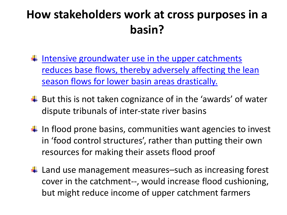## **How stakeholders work at cross purposes in a basin?**

- Intensive groundwater use in the upper catchments [reduces base flows, thereby adversely affecting the lean](#page-19-0) season flows for lower basin areas drastically.
- $\overline{\mathbf{u}}$  But this is not taken cognizance of in the 'awards' of water dispute tribunals of inter-state river basins
- $\downarrow$  In flood prone basins, communities want agencies to invest in 'food control structures', rather than putting their own resources for making their assets flood proof
- <span id="page-3-0"></span> $\ddot{+}$  Land use management measures–such as increasing forest cover in the catchment--, would increase flood cushioning, but might reduce income of upper catchment farmers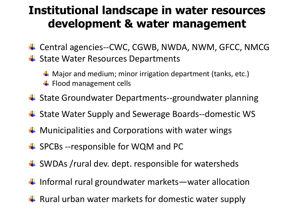## **Institutional landscape in water resources development & water management**

- ↓ Central agencies--CWC, CGWB, NWDA, NWM, GFCC, NMCG
- $\ddot$  State Water Resources Departments

 $\textcolor{red}{\blacktriangle}$  Major and medium; minor irrigation department (tanks, etc.)  $\ddot{ }$  Flood management cells

- ↓ State Groundwater Departments--groundwater planning
- ↓ State Water Supply and Sewerage Boards--domestic WS
- $\blacksquare$  Municipalities and Corporations with water wings
- ↓ SPCBs --responsible for WQM and PC
- $\triangleq$  SWDAs /rural dev. dept. responsible for watersheds
- $\blacksquare$  Informal rural groundwater markets—water allocation
- $\downarrow$  Rural urban water markets for domestic water supply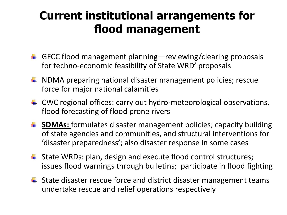## **Current institutional arrangements for flood management**

- GFCC flood management planning—reviewing/clearing proposals for techno-economic feasibility of State WRD' proposals
- $\blacktriangle$  NDMA preparing national disaster management policies; rescue force for major national calamities
- **↓** CWC regional offices: carry out hydro-meteorological observations, flood forecasting of flood prone rivers
- $\frac{4}{1}$  **SDMAs:** formulates disaster management policies; capacity building of state agencies and communities, and structural interventions for 'disaster preparedness'; also disaster response in some cases
- **↓** State WRDs: plan, design and execute flood control structures; issues flood warnings through bulletins; participate in flood fighting
- $\ddot{\bullet}$  State disaster rescue force and district disaster management teams undertake rescue and relief operations respectively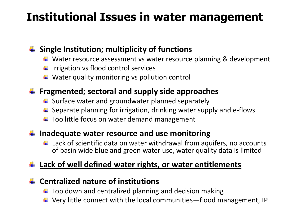## **Institutional Issues in water management**

#### **Single Institution; multiplicity of functions**

- ↓ Water resource assessment vs water resource planning & development
- $\ddot{+}$  Irrigation vs flood control services
- $\ddot{+}$  Water quality monitoring vs pollution control

### **Fragmented; sectoral and supply side approaches**

- $\downarrow$  Surface water and groundwater planned separately
- $\ddot{+}$  Separate planning for irrigation, drinking water supply and e-flows
- $\ddot{\bullet}$  Too little focus on water demand management

#### **Inadequate water resource and use monitoring**

 $\ddot{+}$  Lack of scientific data on water withdrawal from aquifers, no accounts of basin wide blue and green water use, water quality data is limited

### **Lack of well defined water rights, or water entitlements**

#### **Centralized nature of institutions**

- $\ddot{\bullet}$  Top down and centralized planning and decision making
- $\ddot{+}$  Very little connect with the local communities—flood management, IP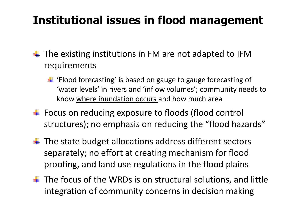## **Institutional issues in flood management**

- $\pm$  The existing institutions in FM are not adapted to IFM requirements
	- $\ddot{\bullet}$  'Flood forecasting' is based on gauge to gauge forecasting of 'water levels' in rivers and 'inflow volumes'; community needs to know where inundation occurs and how much area
- ↓ Focus on reducing exposure to floods (flood control structures); no emphasis on reducing the "flood hazards"
- $\ddot{+}$  The state budget allocations address different sectors separately; no effort at creating mechanism for flood proofing, and land use regulations in the flood plains.
- $\ddot{+}$  The focus of the WRDs is on structural solutions, and little integration of community concerns in decision making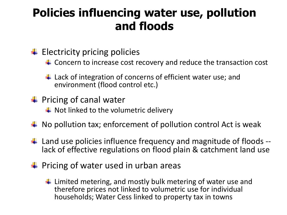## **Policies influencing water use, pollution and floods**

- $\ddot{ }$  Electricity pricing policies
	- ↓ Concern to increase cost recovery and reduce the transaction cost
	- $\ddot{+}$  Lack of integration of concerns of efficient water use; and environment (flood control etc.)
- $\frac{1}{2}$  Pricing of canal water
	- $\blacktriangle$  Not linked to the volumetric delivery
- $\ddot{+}$  No pollution tax; enforcement of pollution control Act is weak
- $\ddot{\bullet}$  Land use policies influence frequency and magnitude of floods -lack of effective regulations on flood plain & catchment land use
- $\frac{1}{2}$  Pricing of water used in urban areas
	- $\ddot{\bullet}$  Limited metering, and mostly bulk metering of water use and therefore prices not linked to volumetric use for individual households; Water Cess linked to property tax in towns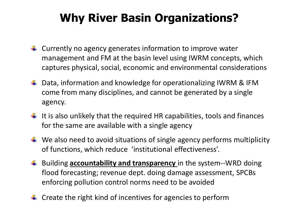## **Why River Basin Organizations?**

- $\ddot{\bullet}$  Currently no agency generates information to improve water management and FM at the basin level using IWRM concepts, which captures physical, social, economic and environmental considerations
- ↓ Data, information and knowledge for operationalizing IWRM & IFM come from many disciplines, and cannot be generated by a single agency.
- $\ddot{\bullet}$  It is also unlikely that the required HR capabilities, tools and finances for the same are available with a single agency
- $\downarrow$  We also need to avoid situations of single agency performs multiplicity of functions, which reduce 'institutional effectiveness'.
- $\frac{1}{2}$  Building **accountability and transparency** in the system--WRD doing flood forecasting; revenue dept. doing damage assessment, SPCBs enforcing pollution control norms need to be avoided
- $\ddot{\bullet}$  Create the right kind of incentives for agencies to perform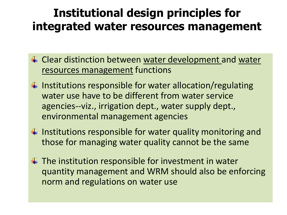## **Institutional design principles for integrated water resources management**

- Lacktriangleright Clear distinction between water development and water resources management functions
- $\ddot{+}$  Institutions responsible for water allocation/regulating water use have to be different from water service agencies--viz., irrigation dept., water supply dept., environmental management agencies
- $\downarrow$  Institutions responsible for water quality monitoring and those for managing water quality cannot be the same
- $\overline{\textbf{I}}$  The institution responsible for investment in water quantity management and WRM should also be enforcing norm and regulations on water use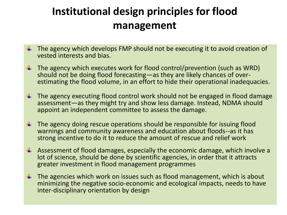## **Institutional design principles for flood management**

- $\ddot{+}$  The agency which develops FMP should not be executing it to avoid creation of vested interests and bias.
- $\ddot{\bullet}$  The agency which executes work for flood control/prevention (such as WRD) should not be doing flood forecasting—as they are likely chances of overestimating the flood volume, in an effort to hide their operational inadequacies.
- $\ddot{\bullet}$  The agency executing flood control work should not be engaged in flood damage assessment—as they might try and show less damage. Instead, NDMA should appoint an independent committee to assess the damage.
- $\ddot{+}$  The agency doing rescue operations should be responsible for issuing flood warnings and community awareness and education about floods--as it has strong incentive to do it to reduce the amount of rescue and relief work
- $\ddot{+}$  Assessment of flood damages, especially the economic damage, which involve a lot of science, should be done by scientific agencies, in order that it attracts greater investment in flood management programmes
- $\ddot{+}$  The agencies which work on issues such as flood management, which is about minimizing the negative socio-economic and ecological impacts, needs to have inter-disciplinary orientation by design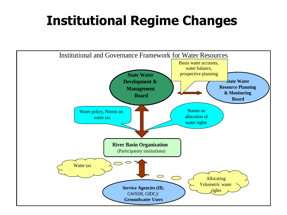## **Institutional Regime Changes**

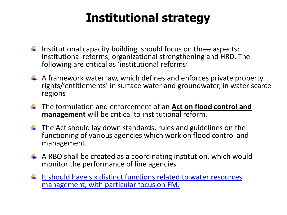## **Institutional strategy**

- Institutional capacity building should focus on three aspects: institutional reforms; organizational strengthening and HRD. The following are critical as 'institutional reforms'
- $\uparrow$  A framework water law, which defines and enforces private property rights/'entitlements' in surface water and groundwater, in water scarce regions
- The formulation and enforcement of an **Act on flood control and management** will be critical to institutional reform.
- $\ddot{\bullet}$  The Act should lay down standards, rules and guidelines on the functioning of various agencies which work on flood control and management.
- $\triangleq$  A RBO shall be created as a coordinating institution, which would monitor the performance of line agencies
- <span id="page-13-0"></span> $\downarrow$  It should have six distinct functions related to water resources management, with particular focus on FM.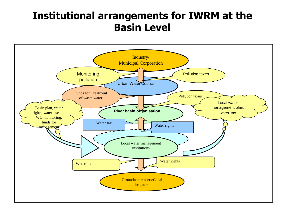### **Institutional arrangements for IWRM at the Basin Level**

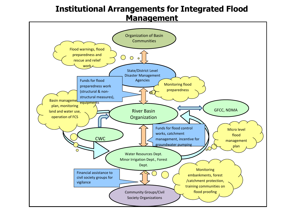#### **Institutional Arrangements for Integrated Flood Management**

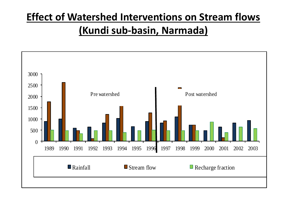## **Effect of Watershed Interventions on Stream flows (Kundi sub-basin, Narmada)**

<span id="page-16-0"></span>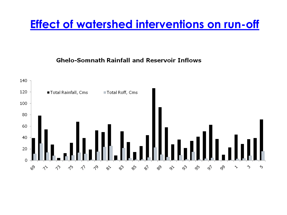### **[Effect of watershed interventions on run-off](#page-2-0)**

**Ghelo-Somnath Rainfall and Reservoir Inflows** 

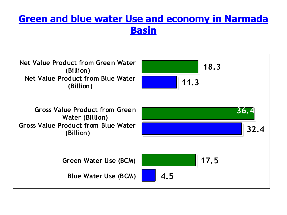### **[Green and blue water Use and economy in Narmada](#page-2-0) Basin**

<span id="page-18-0"></span>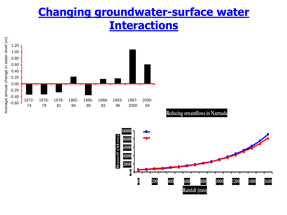### **[Changing groundwater-surface water](#page-3-0) Interactions**



**Reducing streamflows in Narmada** 

<span id="page-19-0"></span>